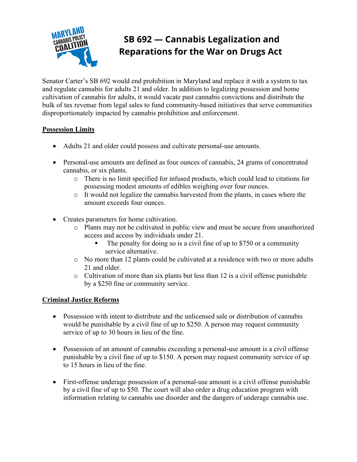

# SB 692 - Cannabis Legalization and **Reparations for the War on Drugs Act**

Senator Carter's SB 692 would end prohibition in Maryland and replace it with a system to tax and regulate cannabis for adults 21 and older. In addition to legalizing possession and home cultivation of cannabis for adults, it would vacate past cannabis convictions and distribute the bulk of tax revenue from legal sales to fund community-based initiatives that serve communities disproportionately impacted by cannabis prohibition and enforcement.

# **Possession Limits**

- Adults 21 and older could possess and cultivate personal-use amounts.
- Personal-use amounts are defined as four ounces of cannabis, 24 grams of concentrated cannabis, or six plants.
	- o There is no limit specified for infused products, which could lead to citations for possessing modest amounts of edibles weighing over four ounces.
	- o It would not legalize the cannabis harvested from the plants, in cases where the amount exceeds four ounces.
- Creates parameters for home cultivation.
	- o Plants may not be cultivated in public view and must be secure from unauthorized access and access by individuals under 21.
		- The penalty for doing so is a civil fine of up to \$750 or a community service alternative.
	- o No more than 12 plants could be cultivated at a residence with two or more adults 21 and older.
	- o Cultivation of more than six plants but less than 12 is a civil offense punishable by a \$250 fine or community service.

## **Criminal Justice Reforms**

- Possession with intent to distribute and the unlicensed sale or distribution of cannabis would be punishable by a civil fine of up to \$250. A person may request community service of up to 30 hours in lieu of the fine.
- Possession of an amount of cannabis exceeding a personal-use amount is a civil offense punishable by a civil fine of up to \$150. A person may request community service of up to 15 hours in lieu of the fine.
- First-offense underage possession of a personal-use amount is a civil offense punishable by a civil fine of up to \$50. The court will also order a drug education program with information relating to cannabis use disorder and the dangers of underage cannabis use.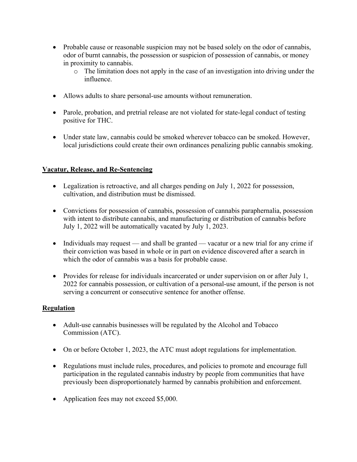- Probable cause or reasonable suspicion may not be based solely on the odor of cannabis, odor of burnt cannabis, the possession or suspicion of possession of cannabis, or money in proximity to cannabis.
	- o The limitation does not apply in the case of an investigation into driving under the influence.
- Allows adults to share personal-use amounts without remuneration.
- Parole, probation, and pretrial release are not violated for state-legal conduct of testing positive for THC.
- Under state law, cannabis could be smoked wherever tobacco can be smoked. However, local jurisdictions could create their own ordinances penalizing public cannabis smoking.

## **Vacatur, Release, and Re-Sentencing**

- Legalization is retroactive, and all charges pending on July 1, 2022 for possession, cultivation, and distribution must be dismissed.
- Convictions for possession of cannabis, possession of cannabis paraphernalia, possession with intent to distribute cannabis, and manufacturing or distribution of cannabis before July 1, 2022 will be automatically vacated by July 1, 2023.
- Individuals may request and shall be granted vacatur or a new trial for any crime if their conviction was based in whole or in part on evidence discovered after a search in which the odor of cannabis was a basis for probable cause.
- Provides for release for individuals incarcerated or under supervision on or after July 1, 2022 for cannabis possession, or cultivation of a personal-use amount, if the person is not serving a concurrent or consecutive sentence for another offense.

#### **Regulation**

- Adult-use cannabis businesses will be regulated by the Alcohol and Tobacco Commission (ATC).
- On or before October 1, 2023, the ATC must adopt regulations for implementation.
- Regulations must include rules, procedures, and policies to promote and encourage full participation in the regulated cannabis industry by people from communities that have previously been disproportionately harmed by cannabis prohibition and enforcement.
- Application fees may not exceed \$5,000.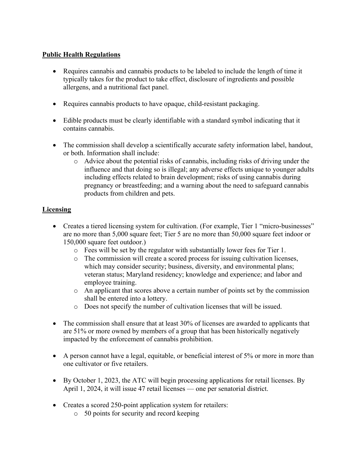# **Public Health Regulations**

- Requires cannabis and cannabis products to be labeled to include the length of time it typically takes for the product to take effect, disclosure of ingredients and possible allergens, and a nutritional fact panel.
- Requires cannabis products to have opaque, child-resistant packaging.
- Edible products must be clearly identifiable with a standard symbol indicating that it contains cannabis.
- The commission shall develop a scientifically accurate safety information label, handout, or both. Information shall include:
	- o Advice about the potential risks of cannabis, including risks of driving under the influence and that doing so is illegal; any adverse effects unique to younger adults including effects related to brain development; risks of using cannabis during pregnancy or breastfeeding; and a warning about the need to safeguard cannabis products from children and pets.

# **Licensing**

- Creates a tiered licensing system for cultivation. (For example, Tier 1 "micro-businesses" are no more than 5,000 square feet; Tier 5 are no more than 50,000 square feet indoor or 150,000 square feet outdoor.)
	- o Fees will be set by the regulator with substantially lower fees for Tier 1.
	- $\circ$  The commission will create a scored process for issuing cultivation licenses, which may consider security; business, diversity, and environmental plans; veteran status; Maryland residency; knowledge and experience; and labor and employee training.
	- o An applicant that scores above a certain number of points set by the commission shall be entered into a lottery.
	- o Does not specify the number of cultivation licenses that will be issued.
- The commission shall ensure that at least 30% of licenses are awarded to applicants that are 51% or more owned by members of a group that has been historically negatively impacted by the enforcement of cannabis prohibition.
- A person cannot have a legal, equitable, or beneficial interest of 5% or more in more than one cultivator or five retailers.
- By October 1, 2023, the ATC will begin processing applications for retail licenses. By April 1, 2024, it will issue 47 retail licenses — one per senatorial district.
- Creates a scored 250-point application system for retailers:
	- o 50 points for security and record keeping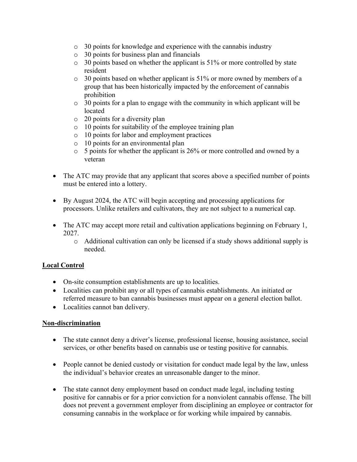- o 30 points for knowledge and experience with the cannabis industry
- o 30 points for business plan and financials
- o 30 points based on whether the applicant is 51% or more controlled by state resident
- o 30 points based on whether applicant is 51% or more owned by members of a group that has been historically impacted by the enforcement of cannabis prohibition
- o 30 points for a plan to engage with the community in which applicant will be located
- o 20 points for a diversity plan
- o 10 points for suitability of the employee training plan
- o 10 points for labor and employment practices
- o 10 points for an environmental plan
- o 5 points for whether the applicant is 26% or more controlled and owned by a veteran
- The ATC may provide that any applicant that scores above a specified number of points must be entered into a lottery.
- By August 2024, the ATC will begin accepting and processing applications for processors. Unlike retailers and cultivators, they are not subject to a numerical cap.
- The ATC may accept more retail and cultivation applications beginning on February 1, 2027.
	- o Additional cultivation can only be licensed if a study shows additional supply is needed.

# **Local Control**

- On-site consumption establishments are up to localities.
- Localities can prohibit any or all types of cannabis establishments. An initiated or referred measure to ban cannabis businesses must appear on a general election ballot.
- Localities cannot ban delivery.

## **Non-discrimination**

- The state cannot deny a driver's license, professional license, housing assistance, social services, or other benefits based on cannabis use or testing positive for cannabis.
- People cannot be denied custody or visitation for conduct made legal by the law, unless the individual's behavior creates an unreasonable danger to the minor.
- The state cannot deny employment based on conduct made legal, including testing positive for cannabis or for a prior conviction for a nonviolent cannabis offense. The bill does not prevent a government employer from disciplining an employee or contractor for consuming cannabis in the workplace or for working while impaired by cannabis.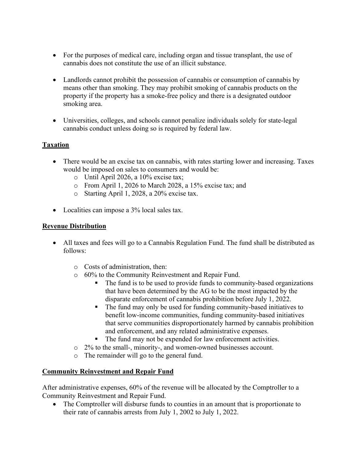- For the purposes of medical care, including organ and tissue transplant, the use of cannabis does not constitute the use of an illicit substance.
- Landlords cannot prohibit the possession of cannabis or consumption of cannabis by means other than smoking. They may prohibit smoking of cannabis products on the property if the property has a smoke-free policy and there is a designated outdoor smoking area.
- Universities, colleges, and schools cannot penalize individuals solely for state-legal cannabis conduct unless doing so is required by federal law.

# **Taxation**

- There would be an excise tax on cannabis, with rates starting lower and increasing. Taxes would be imposed on sales to consumers and would be:
	- o Until April 2026, a 10% excise tax;
	- o From April 1, 2026 to March 2028, a 15% excise tax; and
	- o Starting April 1, 2028, a 20% excise tax.
- Localities can impose a 3% local sales tax.

## **Revenue Distribution**

- All taxes and fees will go to a Cannabis Regulation Fund. The fund shall be distributed as follows:
	- o Costs of administration, then:
	- o 60% to the Community Reinvestment and Repair Fund.
		- The fund is to be used to provide funds to community-based organizations that have been determined by the AG to be the most impacted by the disparate enforcement of cannabis prohibition before July 1, 2022.
		- The fund may only be used for funding community-based initiatives to benefit low-income communities, funding community-based initiatives that serve communities disproportionately harmed by cannabis prohibition and enforcement, and any related administrative expenses.
		- The fund may not be expended for law enforcement activities.
	- o 2% to the small-, minority-, and women-owned businesses account.
	- o The remainder will go to the general fund.

## **Community Reinvestment and Repair Fund**

After administrative expenses, 60% of the revenue will be allocated by the Comptroller to a Community Reinvestment and Repair Fund.

• The Comptroller will disburse funds to counties in an amount that is proportionate to their rate of cannabis arrests from July 1, 2002 to July 1, 2022.